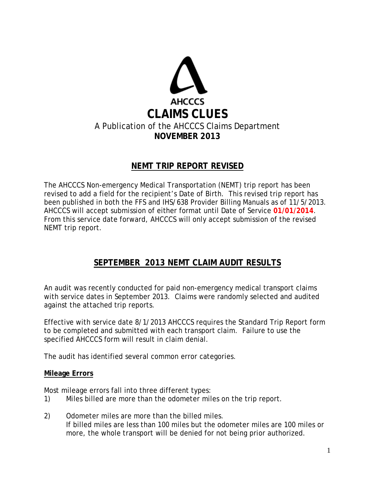

## **NEMT TRIP REPORT REVISED**

The AHCCCS Non-emergency Medical Transportation (NEMT) trip report has been revised to add a field for the recipient's Date of Birth. This revised trip report has been published in both the FFS and IHS/638 Provider Billing Manuals as of 11/5/2013. AHCCCS will accept submission of either format until Date of Service **01/01/2014**. From this service date forward, AHCCCS will only accept submission of the revised NEMT trip report.

## **SEPTEMBER 2013 NEMT CLAIM AUDIT RESULTS**

An audit was recently conducted for paid non-emergency medical transport claims with service dates in September 2013. Claims were randomly selected and audited against the attached trip reports.

Effective with service date 8/1/2013 AHCCCS requires the Standard Trip Report form to be completed and submitted with each transport claim. Failure to use the specified AHCCCS form will result in claim denial.

The audit has identified several common error categories.

#### **Mileage Errors**

Most mileage errors fall into three different types:

- 1) Miles billed are more than the odometer miles on the trip report.
- 2) Odometer miles are more than the billed miles. If billed miles are less than 100 miles but the odometer miles are 100 miles or more, the whole transport will be denied for not being prior authorized.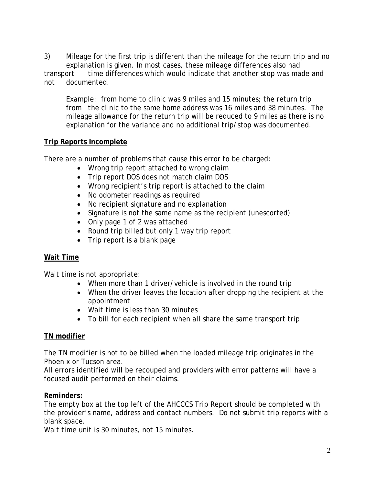3) Mileage for the first trip is different than the mileage for the return trip and no explanation is given. In most cases, these mileage differences also had transport time differences which would indicate that another stop was made and not documented.

Example: from home to clinic was 9 miles and 15 minutes; the return trip from the clinic to the same home address was 16 miles and 38 minutes. The mileage allowance for the return trip will be reduced to 9 miles as there is no explanation for the variance and no additional trip/stop was documented.

#### **Trip Reports Incomplete**

There are a number of problems that cause this error to be charged:

- Wrong trip report attached to wrong claim
- Trip report DOS does not match claim DOS
- Wrong recipient's trip report is attached to the claim
- No odometer readings as required
- No recipient signature and no explanation
- Signature is not the same name as the recipient (unescorted)
- Only page 1 of 2 was attached
- Round trip billed but only 1 way trip report
- Trip report is a blank page

#### **Wait Time**

Wait time is not appropriate:

- When more than 1 driver/vehicle is involved in the round trip
- When the driver *leaves* the location after dropping the recipient at the appointment
- Wait time is less than 30 minutes
- To bill for each recipient when all share the same transport trip

#### **TN modifier**

The TN modifier is not to be billed when the loaded mileage trip originates in the Phoenix or Tucson area.

All errors identified will be recouped and providers with error patterns will have a focused audit performed on their claims.

#### *Reminders:*

The empty box at the top left of the AHCCCS Trip Report should be completed with the provider's name, address and contact numbers. Do not submit trip reports with a blank space.

Wait time unit is 30 minutes, not 15 minutes.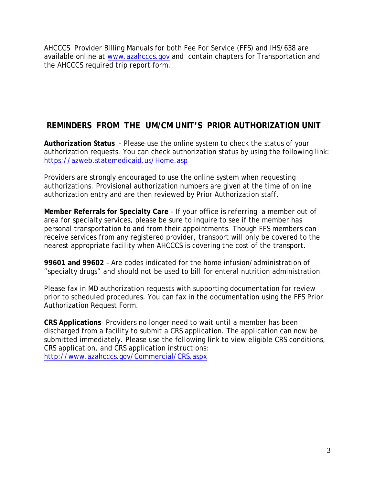AHCCCS Provider Billing Manuals for both Fee For Service (FFS) and IHS/638 are available online at [www.azahcccs.gov](http://www.azahcccs.gov/) and contain chapters for Transportation and the AHCCCS required trip report form.

# **REMINDERS FROM THE UM/CM UNIT'S PRIOR AUTHORIZATION UNIT**

**Authorization Status** - Please use the online system to check the status of your authorization requests. You can check authorization status by using the following link: <https://azweb.statemedicaid.us/Home.asp>

Providers are strongly encouraged to use the online system when requesting authorizations. Provisional authorization numbers are given at the time of online authorization entry and are then reviewed by Prior Authorization staff.

**Member Referrals for Specialty Care** - If your office is referring a member out of area for specialty services, please be sure to inquire to see if the member has personal transportation to and from their appointments. Though FFS members can receive services from any registered provider, transport will only be covered to the nearest appropriate facility when AHCCCS is covering the cost of the transport.

**99601 and 99602** – Are codes indicated for the home infusion/administration of "specialty drugs" and should not be used to bill for enteral nutrition administration.

Please fax in MD authorization requests with supporting documentation for review prior to scheduled procedures. You can fax in the documentation using the FFS Prior Authorization Request Form.

**CRS Applications**- Providers no longer need to wait until a member has been discharged from a facility to submit a CRS application. The application can now be submitted immediately. Please use the following link to view eligible CRS conditions, CRS application, and CRS application instructions: <http://www.azahcccs.gov/Commercial/CRS.aspx>